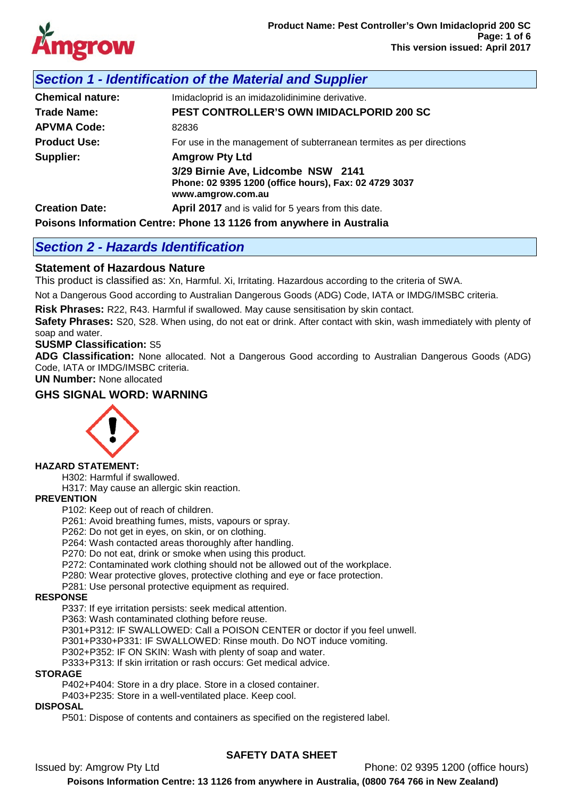

# *Section 1 - Identification of the Material and Supplier*

| <b>Chemical nature:</b>                                              | Imidacloprid is an imidazolidinimine derivative.                           |  |  |  |
|----------------------------------------------------------------------|----------------------------------------------------------------------------|--|--|--|
| Trade Name:                                                          | <b>PEST CONTROLLER'S OWN IMIDACLPORID 200 SC</b>                           |  |  |  |
| <b>APVMA Code:</b>                                                   | 82836                                                                      |  |  |  |
| <b>Product Use:</b>                                                  | For use in the management of subterranean termites as per directions       |  |  |  |
| Supplier:<br><b>Amgrow Pty Ltd</b>                                   |                                                                            |  |  |  |
|                                                                      | 3/29 Birnie Ave, Lidcombe NSW 2141                                         |  |  |  |
|                                                                      | Phone: 02 9395 1200 (office hours), Fax: 02 4729 3037<br>www.amgrow.com.au |  |  |  |
| <b>Creation Date:</b>                                                | <b>April 2017</b> and is valid for 5 years from this date.                 |  |  |  |
| Poisons Information Centre: Phone 13 1126 from anywhere in Australia |                                                                            |  |  |  |

# *Section 2 - Hazards Identification*

## **Statement of Hazardous Nature**

This product is classified as: Xn, Harmful. Xi, Irritating. Hazardous according to the criteria of SWA.

Not a Dangerous Good according to Australian Dangerous Goods (ADG) Code, IATA or IMDG/IMSBC criteria.

**Risk Phrases:** R22, R43. Harmful if swallowed. May cause sensitisation by skin contact.

**Safety Phrases:** S20, S28. When using, do not eat or drink. After contact with skin, wash immediately with plenty of soap and water.

### **SUSMP Classification:** S5

**ADG Classification:** None allocated. Not a Dangerous Good according to Australian Dangerous Goods (ADG) Code, IATA or IMDG/IMSBC criteria.

**UN Number:** None allocated

## **GHS SIGNAL WORD: WARNING**



## **HAZARD STATEMENT:**

H302: Harmful if swallowed.

H317: May cause an allergic skin reaction.

## **PREVENTION**

P102: Keep out of reach of children.

P261: Avoid breathing fumes, mists, vapours or spray.

P262: Do not get in eyes, on skin, or on clothing.

P264: Wash contacted areas thoroughly after handling.

P270: Do not eat, drink or smoke when using this product.

P272: Contaminated work clothing should not be allowed out of the workplace.

P280: Wear protective gloves, protective clothing and eye or face protection.

P281: Use personal protective equipment as required.

### **RESPONSE**

P337: If eye irritation persists: seek medical attention.

P363: Wash contaminated clothing before reuse.

P301+P312: IF SWALLOWED: Call a POISON CENTER or doctor if you feel unwell.

P301+P330+P331: IF SWALLOWED: Rinse mouth. Do NOT induce vomiting.

P302+P352: IF ON SKIN: Wash with plenty of soap and water.

P333+P313: If skin irritation or rash occurs: Get medical advice.

### **STORAGE**

P402+P404: Store in a dry place. Store in a closed container.

P403+P235: Store in a well-ventilated place. Keep cool.

### **DISPOSAL**

P501: Dispose of contents and containers as specified on the registered label.

## **SAFETY DATA SHEET**

Issued by: Amgrow Pty Ltd Phone: 02 9395 1200 (office hours)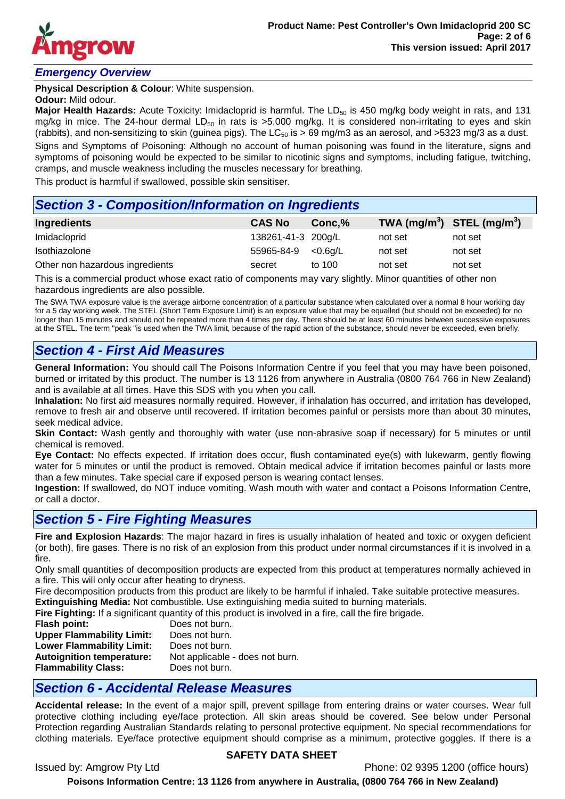

## *Emergency Overview*

**Physical Description & Colour**: White suspension.

#### **Odour:** Mild odour.

**Major Health Hazards:** Acute Toxicity: Imidacloprid is harmful. The LD<sub>50</sub> is 450 mg/kg body weight in rats, and 131 mg/kg in mice. The 24-hour dermal LD<sub>50</sub> in rats is >5,000 mg/kg. It is considered non-irritating to eyes and skin (rabbits), and non-sensitizing to skin (guinea pigs). The LC $_{50}$  is > 69 mg/m3 as an aerosol, and >5323 mg/3 as a dust. Signs and Symptoms of Poisoning: Although no account of human poisoning was found in the literature, signs and symptoms of poisoning would be expected to be similar to nicotinic signs and symptoms, including fatigue, twitching, cramps, and muscle weakness including the muscles necessary for breathing.

This product is harmful if swallowed, possible skin sensitiser.

## *Section 3 - Composition/Information on Ingredients*

| Ingredients                     | <b>CAS No</b>             | Conc.% | TWA $(mg/m^3)$ STEL $(mg/m^3)$ |         |
|---------------------------------|---------------------------|--------|--------------------------------|---------|
| Imidacloprid                    | 138261-41-3 200g/L        |        | not set                        | not set |
| Isothiazolone                   | $55965 - 84 - 9$ < 0.6g/L |        | not set                        | not set |
| Other non hazardous ingredients | secret                    | to 100 | not set                        | not set |

This is a commercial product whose exact ratio of components may vary slightly. Minor quantities of other non hazardous ingredients are also possible.

The SWA TWA exposure value is the average airborne concentration of a particular substance when calculated over a normal 8 hour working day for a 5 day working week. The STEL (Short Term Exposure Limit) is an exposure value that may be equalled (but should not be exceeded) for no longer than 15 minutes and should not be repeated more than 4 times per day. There should be at least 60 minutes between successive exposures at the STEL. The term "peak "is used when the TWA limit, because of the rapid action of the substance, should never be exceeded, even briefly.

# *Section 4 - First Aid Measures*

**General Information:** You should call The Poisons Information Centre if you feel that you may have been poisoned, burned or irritated by this product. The number is 13 1126 from anywhere in Australia (0800 764 766 in New Zealand) and is available at all times. Have this SDS with you when you call.

**Inhalation:** No first aid measures normally required. However, if inhalation has occurred, and irritation has developed, remove to fresh air and observe until recovered. If irritation becomes painful or persists more than about 30 minutes, seek medical advice.

**Skin Contact:** Wash gently and thoroughly with water (use non-abrasive soap if necessary) for 5 minutes or until chemical is removed.

**Eye Contact:** No effects expected. If irritation does occur, flush contaminated eye(s) with lukewarm, gently flowing water for 5 minutes or until the product is removed. Obtain medical advice if irritation becomes painful or lasts more than a few minutes. Take special care if exposed person is wearing contact lenses.

**Ingestion:** If swallowed, do NOT induce vomiting. Wash mouth with water and contact a Poisons Information Centre, or call a doctor.

# *Section 5 - Fire Fighting Measures*

**Fire and Explosion Hazards**: The major hazard in fires is usually inhalation of heated and toxic or oxygen deficient (or both), fire gases. There is no risk of an explosion from this product under normal circumstances if it is involved in a fire.

Only small quantities of decomposition products are expected from this product at temperatures normally achieved in a fire. This will only occur after heating to dryness.

Fire decomposition products from this product are likely to be harmful if inhaled. Take suitable protective measures.

**Extinguishing Media:** Not combustible. Use extinguishing media suited to burning materials.

**Fire Fighting:** If a significant quantity of this product is involved in a fire, call the fire brigade.

| Does not burn.                  |
|---------------------------------|
| Does not burn.                  |
| Does not burn.                  |
| Not applicable - does not burn. |
| Does not burn.                  |
|                                 |

# *Section 6 - Accidental Release Measures*

**Accidental release:** In the event of a major spill, prevent spillage from entering drains or water courses. Wear full protective clothing including eye/face protection. All skin areas should be covered. See below under Personal Protection regarding Australian Standards relating to personal protective equipment. No special recommendations for clothing materials. Eye/face protective equipment should comprise as a minimum, protective goggles. If there is a

## **SAFETY DATA SHEET**

Issued by: Amgrow Pty Ltd Phone: 02 9395 1200 (office hours)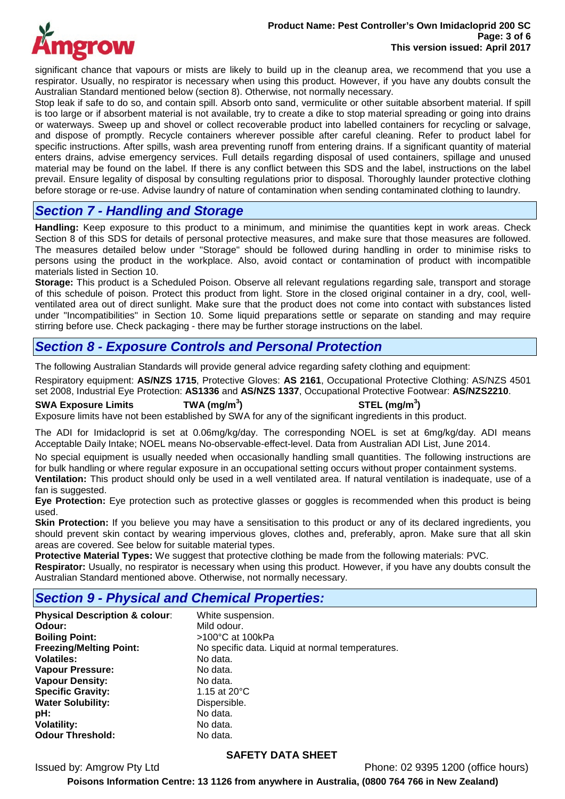

significant chance that vapours or mists are likely to build up in the cleanup area, we recommend that you use a respirator. Usually, no respirator is necessary when using this product. However, if you have any doubts consult the Australian Standard mentioned below (section 8). Otherwise, not normally necessary.

Stop leak if safe to do so, and contain spill. Absorb onto sand, vermiculite or other suitable absorbent material. If spill is too large or if absorbent material is not available, try to create a dike to stop material spreading or going into drains or waterways. Sweep up and shovel or collect recoverable product into labelled containers for recycling or salvage, and dispose of promptly. Recycle containers wherever possible after careful cleaning. Refer to product label for specific instructions. After spills, wash area preventing runoff from entering drains. If a significant quantity of material enters drains, advise emergency services. Full details regarding disposal of used containers, spillage and unused material may be found on the label. If there is any conflict between this SDS and the label, instructions on the label prevail. Ensure legality of disposal by consulting regulations prior to disposal. Thoroughly launder protective clothing before storage or re-use. Advise laundry of nature of contamination when sending contaminated clothing to laundry.

# *Section 7 - Handling and Storage*

**Handling:** Keep exposure to this product to a minimum, and minimise the quantities kept in work areas. Check Section 8 of this SDS for details of personal protective measures, and make sure that those measures are followed. The measures detailed below under "Storage" should be followed during handling in order to minimise risks to persons using the product in the workplace. Also, avoid contact or contamination of product with incompatible materials listed in Section 10.

**Storage:** This product is a Scheduled Poison. Observe all relevant regulations regarding sale, transport and storage of this schedule of poison. Protect this product from light. Store in the closed original container in a dry, cool, wellventilated area out of direct sunlight. Make sure that the product does not come into contact with substances listed under "Incompatibilities" in Section 10. Some liquid preparations settle or separate on standing and may require stirring before use. Check packaging - there may be further storage instructions on the label.

# *Section 8 - Exposure Controls and Personal Protection*

The following Australian Standards will provide general advice regarding safety clothing and equipment:

Respiratory equipment: **AS/NZS 1715**, Protective Gloves: **AS 2161**, Occupational Protective Clothing: AS/NZS 4501 set 2008, Industrial Eye Protection: **AS1336** and **AS/NZS 1337**, Occupational Protective Footwear: **AS/NZS2210**.

**SWA Exposure Limits TWA (mg/m<sup>3</sup>**

**) STEL (mg/m<sup>3</sup> )**

Exposure limits have not been established by SWA for any of the significant ingredients in this product.

The ADI for Imidacloprid is set at 0.06mg/kg/day. The corresponding NOEL is set at 6mg/kg/day. ADI means Acceptable Daily Intake; NOEL means No-observable-effect-level. Data from Australian ADI List, June 2014.

No special equipment is usually needed when occasionally handling small quantities. The following instructions are for bulk handling or where regular exposure in an occupational setting occurs without proper containment systems.

**Ventilation:** This product should only be used in a well ventilated area. If natural ventilation is inadequate, use of a fan is suggested.

**Eye Protection:** Eye protection such as protective glasses or goggles is recommended when this product is being used.

Skin Protection: If you believe you may have a sensitisation to this product or any of its declared ingredients, you should prevent skin contact by wearing impervious gloves, clothes and, preferably, apron. Make sure that all skin areas are covered. See below for suitable material types.

**Protective Material Types:** We suggest that protective clothing be made from the following materials: PVC.

**Respirator:** Usually, no respirator is necessary when using this product. However, if you have any doubts consult the Australian Standard mentioned above. Otherwise, not normally necessary.

## *Section 9 - Physical and Chemical Properties:*

**Physical Description & colour**: White suspension. **Odour:** Mild odour. **Boiling Point:**  $>100^{\circ}$ C at 100kPa<br>**Freezing/Melting Point:** No specific data. Li **Volatiles:** No data.<br> **Vapour Pressure:** No data. **Vapour Pressure:** Vapour Density: No data. **Specific Gravity:** 1.15 at 20°C **Water Solubility:** Dispersible. **pH:** No data.<br> **Volatility:** No data. **Volatility:** No data.<br> **Odour Threshold:** No data **Odour Threshold:** 

No specific data. Liquid at normal temperatures.<br>No data.

## **SAFETY DATA SHEET**

Issued by: Amgrow Pty Ltd Phone: 02 9395 1200 (office hours)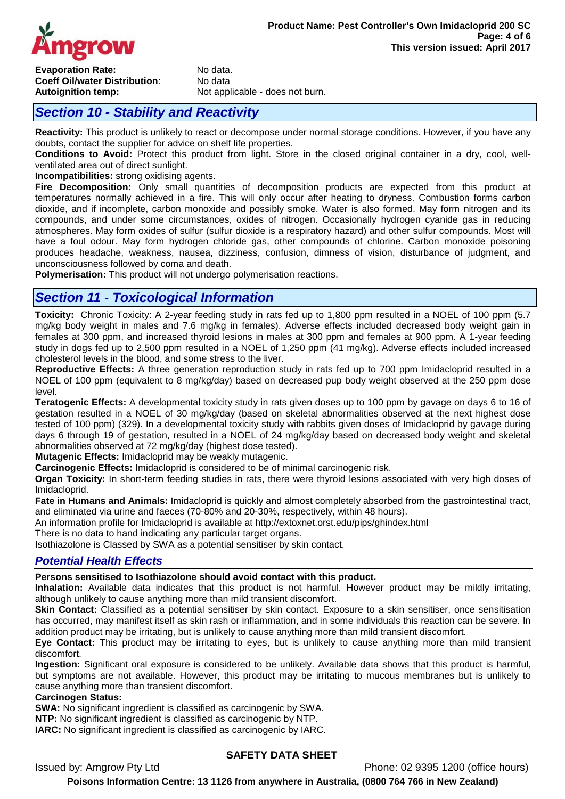

**Evaporation Rate:** No data.<br> **Coeff Oil/water Distribution**<br>
No data **Coeff Oil/water Distribution:**<br>Autoignition temp:

Not applicable - does not burn.

# *Section 10 - Stability and Reactivity*

**Reactivity:** This product is unlikely to react or decompose under normal storage conditions. However, if you have any doubts, contact the supplier for advice on shelf life properties.

**Conditions to Avoid:** Protect this product from light. Store in the closed original container in a dry, cool, wellventilated area out of direct sunlight.

**Incompatibilities:** strong oxidising agents.

**Fire Decomposition:** Only small quantities of decomposition products are expected from this product at temperatures normally achieved in a fire. This will only occur after heating to dryness. Combustion forms carbon dioxide, and if incomplete, carbon monoxide and possibly smoke. Water is also formed. May form nitrogen and its compounds, and under some circumstances, oxides of nitrogen. Occasionally hydrogen cyanide gas in reducing atmospheres. May form oxides of sulfur (sulfur dioxide is a respiratory hazard) and other sulfur compounds. Most will have a foul odour. May form hydrogen chloride gas, other compounds of chlorine. Carbon monoxide poisoning produces headache, weakness, nausea, dizziness, confusion, dimness of vision, disturbance of judgment, and unconsciousness followed by coma and death.

**Polymerisation:** This product will not undergo polymerisation reactions.

# *Section 11 - Toxicological Information*

**Toxicity:** Chronic Toxicity: A 2-year feeding study in rats fed up to 1,800 ppm resulted in a NOEL of 100 ppm (5.7 mg/kg body weight in males and 7.6 mg/kg in females). Adverse effects included decreased body weight gain in females at 300 ppm, and increased thyroid lesions in males at 300 ppm and females at 900 ppm. A 1-year feeding study in dogs fed up to 2,500 ppm resulted in a NOEL of 1,250 ppm (41 mg/kg). Adverse effects included increased cholesterol levels in the blood, and some stress to the liver.

**Reproductive Effects:** A three generation reproduction study in rats fed up to 700 ppm Imidacloprid resulted in a NOEL of 100 ppm (equivalent to 8 mg/kg/day) based on decreased pup body weight observed at the 250 ppm dose level.

**Teratogenic Effects:** A developmental toxicity study in rats given doses up to 100 ppm by gavage on days 6 to 16 of gestation resulted in a NOEL of 30 mg/kg/day (based on skeletal abnormalities observed at the next highest dose tested of 100 ppm) (329). In a developmental toxicity study with rabbits given doses of Imidacloprid by gavage during days 6 through 19 of gestation, resulted in a NOEL of 24 mg/kg/day based on decreased body weight and skeletal abnormalities observed at 72 mg/kg/day (highest dose tested).

**Mutagenic Effects:** Imidacloprid may be weakly mutagenic.

**Carcinogenic Effects:** Imidacloprid is considered to be of minimal carcinogenic risk.

**Organ Toxicity:** In short-term feeding studies in rats, there were thyroid lesions associated with very high doses of Imidacloprid.

**Fate in Humans and Animals:** Imidacloprid is quickly and almost completely absorbed from the gastrointestinal tract, and eliminated via urine and faeces (70-80% and 20-30%, respectively, within 48 hours).

An information profile for Imidacloprid is available at http://extoxnet.orst.edu/pips/ghindex.html

There is no data to hand indicating any particular target organs.

Isothiazolone is Classed by SWA as a potential sensitiser by skin contact.

### *Potential Health Effects*

### **Persons sensitised to Isothiazolone should avoid contact with this product.**

**Inhalation:** Available data indicates that this product is not harmful. However product may be mildly irritating, although unlikely to cause anything more than mild transient discomfort.

**Skin Contact:** Classified as a potential sensitiser by skin contact. Exposure to a skin sensitiser, once sensitisation has occurred, may manifest itself as skin rash or inflammation, and in some individuals this reaction can be severe. In addition product may be irritating, but is unlikely to cause anything more than mild transient discomfort.

**Eye Contact:** This product may be irritating to eyes, but is unlikely to cause anything more than mild transient discomfort.

**Ingestion:** Significant oral exposure is considered to be unlikely. Available data shows that this product is harmful, but symptoms are not available. However, this product may be irritating to mucous membranes but is unlikely to cause anything more than transient discomfort.

#### **Carcinogen Status:**

**SWA:** No significant ingredient is classified as carcinogenic by SWA.

**NTP:** No significant ingredient is classified as carcinogenic by NTP.

**IARC:** No significant ingredient is classified as carcinogenic by IARC.

## **SAFETY DATA SHEET**

Issued by: Amgrow Pty Ltd Phone: 02 9395 1200 (office hours)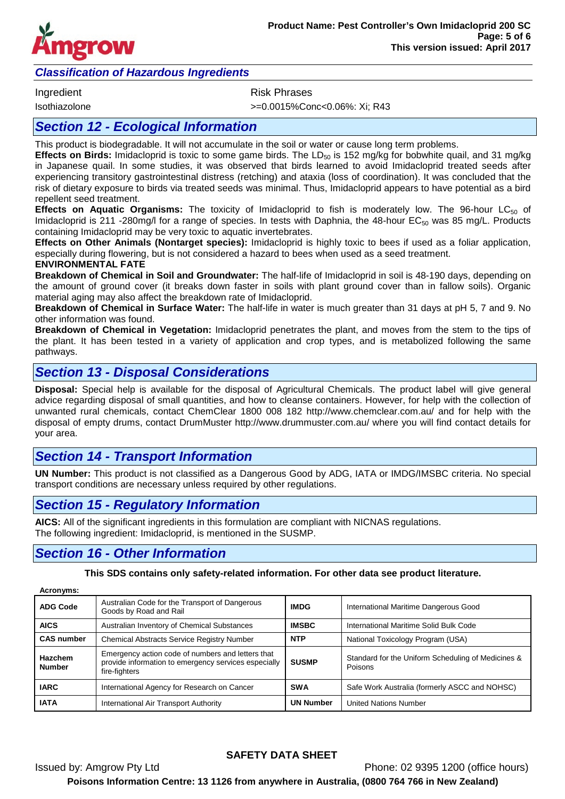

## *Classification of Hazardous Ingredients*

Ingredient **Risk Phrases** 

Isothiazolone >=0.0015%Conc<0.06%: Xi; R43

## *Section 12 - Ecological Information*

This product is biodegradable. It will not accumulate in the soil or water or cause long term problems.

**Effects on Birds:** Imidacloprid is toxic to some game birds. The LD<sub>50</sub> is 152 mg/kg for bobwhite quail, and 31 mg/kg in Japanese quail. In some studies, it was observed that birds learned to avoid Imidacloprid treated seeds after experiencing transitory gastrointestinal distress (retching) and ataxia (loss of coordination). It was concluded that the risk of dietary exposure to birds via treated seeds was minimal. Thus, Imidacloprid appears to have potential as a bird repellent seed treatment.

**Effects on Aquatic Organisms:** The toxicity of Imidacloprid to fish is moderately low. The 96-hour LC<sub>50</sub> of Imidacloprid is 211 -280mg/l for a range of species. In tests with Daphnia, the 48-hour EC<sub>50</sub> was 85 mg/L. Products containing Imidacloprid may be very toxic to aquatic invertebrates.

**Effects on Other Animals (Nontarget species):** Imidacloprid is highly toxic to bees if used as a foliar application, especially during flowering, but is not considered a hazard to bees when used as a seed treatment.

#### **ENVIRONMENTAL FATE**

**Breakdown of Chemical in Soil and Groundwater:** The half-life of Imidacloprid in soil is 48-190 days, depending on the amount of ground cover (it breaks down faster in soils with plant ground cover than in fallow soils). Organic material aging may also affect the breakdown rate of Imidacloprid.

**Breakdown of Chemical in Surface Water:** The half-life in water is much greater than 31 days at pH 5, 7 and 9. No other information was found.

**Breakdown of Chemical in Vegetation:** Imidacloprid penetrates the plant, and moves from the stem to the tips of the plant. It has been tested in a variety of application and crop types, and is metabolized following the same pathways.

# *Section 13 - Disposal Considerations*

**Disposal:** Special help is available for the disposal of Agricultural Chemicals. The product label will give general advice regarding disposal of small quantities, and how to cleanse containers. However, for help with the collection of unwanted rural chemicals, contact ChemClear 1800 008 182 http://www.chemclear.com.au/ and for help with the disposal of empty drums, contact DrumMuster http://www.drummuster.com.au/ where you will find contact details for your area.

# *Section 14 - Transport Information*

**UN Number:** This product is not classified as a Dangerous Good by ADG, IATA or IMDG/IMSBC criteria. No special transport conditions are necessary unless required by other regulations.

# *Section 15 - Regulatory Information*

**AICS:** All of the significant ingredients in this formulation are compliant with NICNAS regulations. The following ingredient: Imidacloprid, is mentioned in the SUSMP.

# *Section 16 - Other Information*

**This SDS contains only safety-related information. For other data see product literature.**

| Acronyms:                |                                                                                                                            |                  |                                                               |  |  |
|--------------------------|----------------------------------------------------------------------------------------------------------------------------|------------------|---------------------------------------------------------------|--|--|
| <b>ADG Code</b>          | Australian Code for the Transport of Dangerous<br>Goods by Road and Rail                                                   | <b>IMDG</b>      | International Maritime Dangerous Good                         |  |  |
| <b>AICS</b>              | Australian Inventory of Chemical Substances                                                                                | <b>IMSBC</b>     | International Maritime Solid Bulk Code                        |  |  |
| <b>CAS number</b>        | <b>Chemical Abstracts Service Registry Number</b>                                                                          | <b>NTP</b>       | National Toxicology Program (USA)                             |  |  |
| Hazchem<br><b>Number</b> | Emergency action code of numbers and letters that<br>provide information to emergency services especially<br>fire-fighters | <b>SUSMP</b>     | Standard for the Uniform Scheduling of Medicines &<br>Poisons |  |  |
| <b>IARC</b>              | International Agency for Research on Cancer                                                                                | <b>SWA</b>       | Safe Work Australia (formerly ASCC and NOHSC)                 |  |  |
| <b>IATA</b>              | International Air Transport Authority                                                                                      | <b>UN Number</b> | <b>United Nations Number</b>                                  |  |  |

## **SAFETY DATA SHEET**

Issued by: Amgrow Pty Ltd Phone: 02 9395 1200 (office hours) **Poisons Information Centre: 13 1126 from anywhere in Australia, (0800 764 766 in New Zealand)**